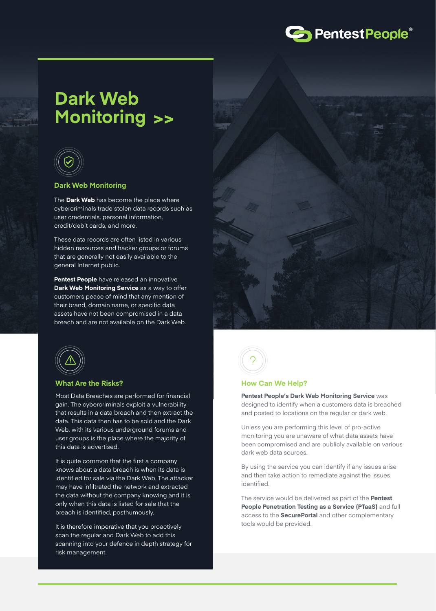

# **Dark Web Monitoring >>**



#### **Dark Web Monitoring**

The **Dark Web** has become the place where cybercriminals trade stolen data records such as user credentials, personal information, credit/debit cards, and more.

These data records are often listed in various hidden resources and hacker groups or forums that are generally not easily available to the general Internet public.

**Pentest People** have released an innovative **Dark Web Monitoring Service** as a way to offer customers peace of mind that any mention of their brand, domain name, or specific data assets have not been compromised in a data breach and are not available on the Dark Web.





#### **What Are the Risks?**

Most Data Breaches are performed for financial gain. The cybercriminals exploit a vulnerability that results in a data breach and then extract the data. This data then has to be sold and the Dark Web, with its various underground forums and user groups is the place where the majority of this data is advertised.

It is quite common that the first a company knows about a data breach is when its data is identified for sale via the Dark Web. The attacker may have infiltrated the network and extracted the data without the company knowing and it is only when this data is listed for sale that the breach is identified, posthumously.

It is therefore imperative that you proactively scan the regular and Dark Web to add this scanning into your defence in depth strategy for risk management.



#### **How Can We Help?**

**Pentest People's Dark Web Monitoring Service** was designed to identify when a customers data is breached and posted to locations on the regular or dark web.

Unless you are performing this level of pro-active monitoring you are unaware of what data assets have been compromised and are publicly available on various dark web data sources.

By using the service you can identify if any issues arise and then take action to remediate against the issues identified.

The service would be delivered as part of the **Pentest People Penetration Testing as a Service (PTaaS)** and full access to the **SecurePortal** and other complementary tools would be provided.